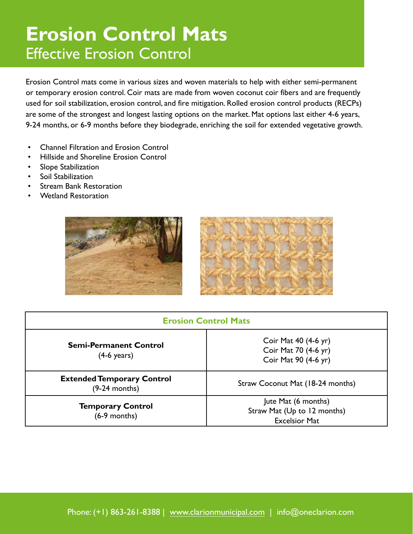# **Erosion Control Mats**  Effective Erosion Control

Erosion Control mats come in various sizes and woven materials to help with either semi-permanent or temporary erosion control. Coir mats are made from woven coconut coir fibers and are frequently used for soil stabilization, erosion control, and fire mitigation. Rolled erosion control products (RECPs) are some of the strongest and longest lasting options on the market. Mat options last either 4-6 years, 9-24 months, or 6-9 months before they biodegrade, enriching the soil for extended vegetative growth.

- Channel Filtration and Erosion Control
- Hillside and Shoreline Erosion Control
- Slope Stabilization
- Soil Stabilization
- **Stream Bank Restoration**
- Wetland Restoration





| <b>Erosion Control Mats</b>                            |                                                                            |  |  |  |
|--------------------------------------------------------|----------------------------------------------------------------------------|--|--|--|
| <b>Semi-Permanent Control</b><br>$(4-6 \text{ years})$ | Coir Mat 40 (4-6 yr)<br>Coir Mat 70 (4-6 yr)<br>Coir Mat 90 (4-6 yr)       |  |  |  |
| <b>Extended Temporary Control</b><br>$(9-24$ months)   | Straw Coconut Mat (18-24 months)                                           |  |  |  |
| <b>Temporary Control</b><br>$(6-9$ months)             | Jute Mat (6 months)<br>Straw Mat (Up to 12 months)<br><b>Excelsior Mat</b> |  |  |  |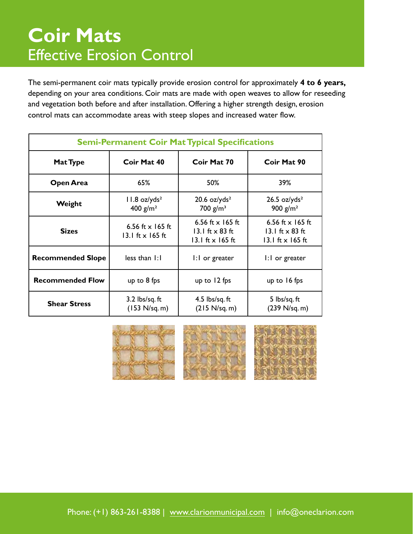### **Coir Mats**  Effective Erosion Control

The semi-permanent coir mats typically provide erosion control for approximately **4 to 6 years,**  depending on your area conditions. Coir mats are made with open weaves to allow for reseeding and vegetation both before and after installation. Offering a higher strength design, erosion control mats can accommodate areas with steep slopes and increased water flow.

| <b>Semi-Permanent Coir Mat Typical Specifications</b> |                                                    |                                                                  |                                                                         |  |  |  |
|-------------------------------------------------------|----------------------------------------------------|------------------------------------------------------------------|-------------------------------------------------------------------------|--|--|--|
| Mat Type                                              | Coir Mat 40                                        | Coir Mat 70                                                      | Coir Mat 90                                                             |  |  |  |
| Open Area                                             | 65%                                                | 50%                                                              | 39%                                                                     |  |  |  |
| Weight                                                | $11.8$ oz/yds <sup>2</sup><br>400 $g/m^2$          | $20.6$ oz/yds <sup>2</sup><br>700 $g/m^3$                        | $26.5$ oz/yds <sup>2</sup><br>900 $g/m^2$                               |  |  |  |
| <b>Sizes</b>                                          | 6.56 ft $\times$ 165 ft<br>13.1 ft $\times$ 165 ft | 6.56 ft $x$ 165 ft<br>13.1 ft $\times$ 83 ft<br>13.1 ft x 165 ft | 6.56 ft $x$ 165 ft<br>13.1 ft $\times$ 83 ft<br>13.1 ft $\times$ 165 ft |  |  |  |
| <b>Recommended Slope</b>                              | less than 1:1                                      | 1:1 or greater                                                   | 1:1 or greater                                                          |  |  |  |
| <b>Recommended Flow</b>                               | up to $8$ fps                                      | up to $12$ fps                                                   | up to $16$ fps                                                          |  |  |  |
| <b>Shear Stress</b>                                   | $3.2$ lbs/sq. ft<br>(153 N/sq. m)                  | 4.5 $\frac{1}{5}$ lbs/sq. ft<br>(215 N/sq. m)                    | 5 lbs/sq.ft<br>(239 N/sq. m)                                            |  |  |  |

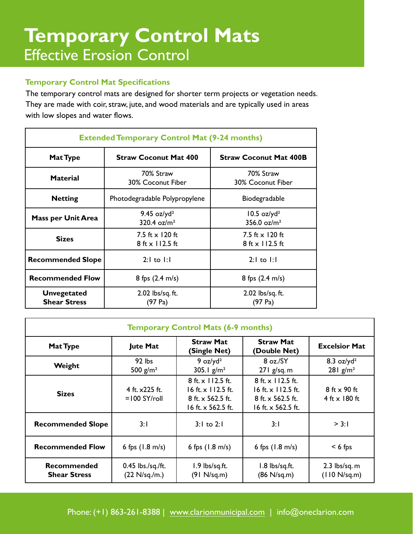# **Temporary Control Mats** Effective Erosion Control

#### **Temporary Control Mat Specifications**

The temporary control mats are designed for shorter term projects or vegetation needs. They are made with coir, straw, jute, and wood materials and are typically used in areas with low slopes and water flows.

| <b>Extended Temporary Control Mat (9-24 months)</b> |                                             |                                             |  |  |  |
|-----------------------------------------------------|---------------------------------------------|---------------------------------------------|--|--|--|
| Mat Type                                            | <b>Straw Coconut Mat 400</b>                | <b>Straw Coconut Mat 400B</b>               |  |  |  |
| <b>Material</b>                                     | 70% Straw<br>30% Coconut Fiber              | 70% Straw<br>30% Coconut Fiber              |  |  |  |
| <b>Netting</b>                                      | Photodegradable Polypropylene               | Biodegradable                               |  |  |  |
| <b>Mass per Unit Area</b>                           | 9.45 $oz/yd2$<br>320.4 $oz/m^2$             | $10.5$ oz/yd <sup>2</sup><br>356.0 $oz/m2$  |  |  |  |
| <b>Sizes</b>                                        | 7.5 ft $\times$ 120 ft<br>$8$ ft x 112.5 ft | 7.5 ft $\times$ 120 ft<br>$8$ ft x 112.5 ft |  |  |  |
| <b>Recommended Slope</b>                            | $2:1$ to $1:1$                              | $2:1$ to $1:1$                              |  |  |  |
| <b>Recommended Flow</b>                             | 8 fps $(2.4 \text{ m/s})$                   | 8 fps $(2.4 \text{ m/s})$                   |  |  |  |
| <b>Unvegetated</b><br><b>Shear Stress</b>           | 2.02 lbs/sq. ft.<br>(97 Pa)                 |                                             |  |  |  |

| <b>Temporary Control Mats (6-9 months)</b> |                                              |                                                                                           |                                                                                    |                                                             |  |
|--------------------------------------------|----------------------------------------------|-------------------------------------------------------------------------------------------|------------------------------------------------------------------------------------|-------------------------------------------------------------|--|
| <b>Mat Type</b>                            | <b>Jute Mat</b>                              | <b>Straw Mat</b><br>(Single Net)                                                          | <b>Straw Mat</b><br>(Double Net)                                                   | <b>Excelsior Mat</b>                                        |  |
| Weight                                     | $92$ lbs<br>500 $g/m^2$                      | 9 $oz/yd^2$<br>305.1 $g/m^2$                                                              | $8 \text{ oz./SY}$<br>$271$ g/sq. m                                                | $8.3$ oz/yd <sup>2</sup><br>$281$ g/m <sup>2</sup>          |  |
| <b>Sizes</b>                               | 4 ft. x225 ft.<br>$=100$ SY/roll             | 8 ft. x 112.5 ft.<br>16 ft. $\times$ 112.5 ft.<br>8 ft. x 562.5 ft.<br>16 ft. x 562.5 ft. | 8 ft. x 112.5 ft.<br>16 ft. x 112.5 ft.<br>8 ft. x 562.5 ft.<br>16 ft. x 562.5 ft. | $8 \text{ ft} \times 90 \text{ ft}$<br>4 ft $\times$ 180 ft |  |
| <b>Recommended Slope</b>                   | 3:1                                          | $3:1$ to $2:1$                                                                            | 3:1                                                                                | > 3:1                                                       |  |
| <b>Recommended Flow</b>                    | 6 fps $(1.8 \text{ m/s})$                    | 6 fps $(1.8 \text{ m/s})$                                                                 | 6 fps $(1.8 \text{ m/s})$                                                          | $< 6$ fps                                                   |  |
| <b>Recommended</b><br><b>Shear Stress</b>  | 0.45 lbs./sq./ft.<br>$(22 \text{ N/sq./m.})$ | 1.9 lbs/sq.ft.<br>(91 N/sq.m)                                                             | 1.8 lbs/sq.ft.<br>(86 N/sq.m)                                                      | $2.3$ lbs/sq. m<br>(110 N/sq.m)                             |  |